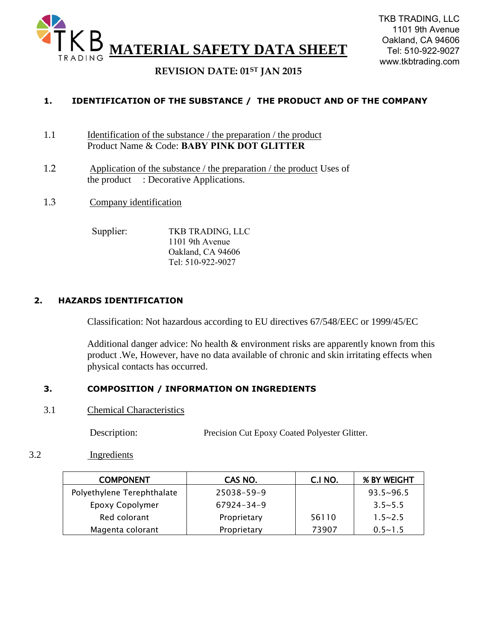

## **REVISION DATE: 01ST JAN 2015**

### **1. IDENTIFICATION OF THE SUBSTANCE / THE PRODUCT AND OF THE COMPANY**

- 1.1 Identification of the substance / the preparation / the product Product Name & Code: **BABY PINK DOT GLITTER**
- 1.2 Application of the substance / the preparation / the product Uses of the product : Decorative Applications.
- 1.3 Company identification

Supplier: TKB TRADING, LLC 1101 9th Avenue Oakland, CA 94606 Tel: 510-922-9027

#### **2. HAZARDS IDENTIFICATION**

Classification: Not hazardous according to EU directives 67/548/EEC or 1999/45/EC

Additional danger advice: No health  $\&$  environment risks are apparently known from this product .We, However, have no data available of chronic and skin irritating effects when physical contacts has occurred.

#### **3. COMPOSITION / INFORMATION ON INGREDIENTS**

3.1 Chemical Characteristics

Description: Precision Cut Epoxy Coated Polyester Glitter.

#### 3.2 Ingredients

| <b>COMPONENT</b>           | CAS NO.     | C.I NO. | <b>% BY WEIGHT</b> |
|----------------------------|-------------|---------|--------------------|
| Polyethylene Terephthalate | 25038-59-9  |         | $93.5 \times 96.5$ |
| Epoxy Copolymer            | 67924-34-9  |         | $3.5 - 5.5$        |
| Red colorant               | Proprietary | 56110   | $1.5 - 2.5$        |
| Magenta colorant           | Proprietary | 73907   | $0.5 - 1.5$        |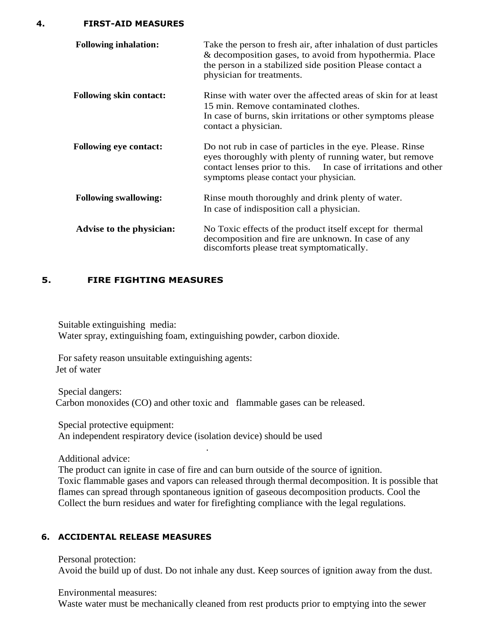**4. FIRST-AID MEASURES**

| <b>Following inhalation:</b>   | Take the person to fresh air, after inhalation of dust particles<br>& decomposition gases, to avoid from hypothermia. Place<br>the person in a stabilized side position Please contact a<br>physician for treatments.              |  |
|--------------------------------|------------------------------------------------------------------------------------------------------------------------------------------------------------------------------------------------------------------------------------|--|
| <b>Following skin contact:</b> | Rinse with water over the affected areas of skin for at least<br>15 min. Remove contaminated clothes.<br>In case of burns, skin irritations or other symptoms please<br>contact a physician.                                       |  |
| <b>Following eye contact:</b>  | Do not rub in case of particles in the eye. Please. Rinse<br>eyes thoroughly with plenty of running water, but remove<br>contact lenses prior to this. In case of irritations and other<br>symptoms please contact your physician. |  |
| <b>Following swallowing:</b>   | Rinse mouth thoroughly and drink plenty of water.<br>In case of indisposition call a physician.                                                                                                                                    |  |
| Advise to the physician:       | No Toxic effects of the product itself except for thermal<br>decomposition and fire are unknown. In case of any<br>discomforts please treat symptomatically.                                                                       |  |

#### **5. FIRE FIGHTING MEASURES**

Suitable extinguishing media: Water spray, extinguishing foam, extinguishing powder, carbon dioxide.

For safety reason unsuitable extinguishing agents: Jet of water

Special dangers: Carbon monoxides (CO) and other toxic and flammable gases can be released.

.

Special protective equipment: An independent respiratory device (isolation device) should be used

Additional advice:

The product can ignite in case of fire and can burn outside of the source of ignition. Toxic flammable gases and vapors can released through thermal decomposition. It is possible that flames can spread through spontaneous ignition of gaseous decomposition products. Cool the Collect the burn residues and water for firefighting compliance with the legal regulations.

#### **6. ACCIDENTAL RELEASE MEASURES**

Personal protection: Avoid the build up of dust. Do not inhale any dust. Keep sources of ignition away from the dust.

Environmental measures: Waste water must be mechanically cleaned from rest products prior to emptying into the sewer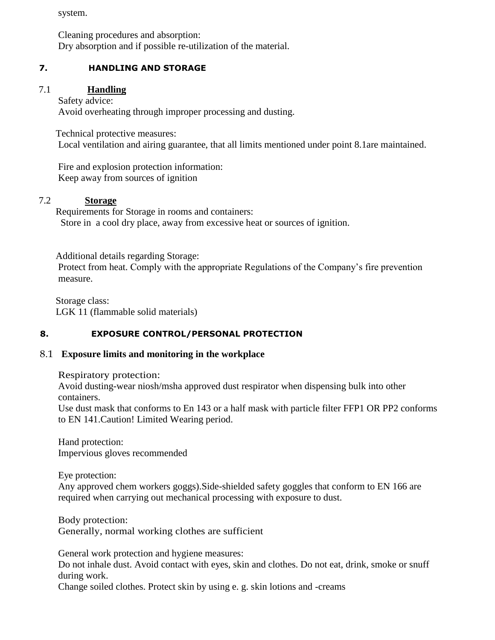system.

Cleaning procedures and absorption: Dry absorption and if possible re-utilization of the material.

### **7. HANDLING AND STORAGE**

#### 7.1 **Handling**

#### Safety advice:

Avoid overheating through improper processing and dusting.

Technical protective measures:

Local ventilation and airing guarantee, that all limits mentioned under point 8.1are maintained.

Fire and explosion protection information: Keep away from sources of ignition

## 7.2 **Storage**

Requirements for Storage in rooms and containers: Store in a cool dry place, away from excessive heat or sources of ignition.

Additional details regarding Storage:

Protect from heat. Comply with the appropriate Regulations of the Company's fire prevention measure.

Storage class: LGK 11 (flammable solid materials)

### **8. EXPOSURE CONTROL/PERSONAL PROTECTION**

#### 8.1 **Exposure limits and monitoring in the workplace**

Respiratory protection:

Avoid dusting-wear niosh/msha approved dust respirator when dispensing bulk into other containers.

Use dust mask that conforms to En 143 or a half mask with particle filter FFP1 OR PP2 conforms to EN 141.Caution! Limited Wearing period.

Hand protection: Impervious gloves recommended

Eye protection:

Any approved chem workers goggs).Side-shielded safety goggles that conform to EN 166 are required when carrying out mechanical processing with exposure to dust.

Body protection: Generally, normal working clothes are sufficient

General work protection and hygiene measures:

Do not inhale dust. Avoid contact with eyes, skin and clothes. Do not eat, drink, smoke or snuff during work.

Change soiled clothes. Protect skin by using e. g. skin lotions and -creams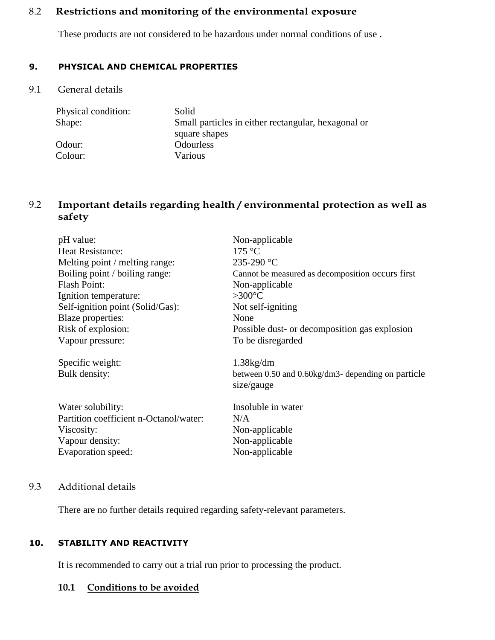## 8.2 **Restrictions and monitoring of the environmental exposure**

These products are not considered to be hazardous under normal conditions of use .

## **9. PHYSICAL AND CHEMICAL PROPERTIES**

9.1 General details

| Physical condition: | Solid                                               |
|---------------------|-----------------------------------------------------|
| Shape:              | Small particles in either rectangular, hexagonal or |
|                     | square shapes                                       |
| Odour:              | <b>Odourless</b>                                    |
| Colour:             | Various                                             |

# 9.2 **Important details regarding health / environmental protection as well as safety**

| pH value:                              | Non-applicable                                          |
|----------------------------------------|---------------------------------------------------------|
| <b>Heat Resistance:</b>                | 175 °C                                                  |
| Melting point / melting range:         | 235-290 °C                                              |
| Boiling point / boiling range:         | Cannot be measured as decomposition occurs first        |
| <b>Flash Point:</b>                    | Non-applicable                                          |
| Ignition temperature:                  | $>300^{\circ}$ C                                        |
| Self-ignition point (Solid/Gas):       | Not self-igniting                                       |
| Blaze properties:                      | None                                                    |
| Risk of explosion:                     | Possible dust- or decomposition gas explosion           |
| Vapour pressure:                       | To be disregarded                                       |
| Specific weight:                       | $1.38$ kg/dm                                            |
| Bulk density:                          | between $0.50$ and $0.60$ kg/dm3- depending on particle |
|                                        | size/gauge                                              |
| Water solubility:                      | Insoluble in water                                      |
| Partition coefficient n-Octanol/water: | N/A                                                     |
| Viscosity:                             | Non-applicable                                          |
| Vapour density:                        | Non-applicable                                          |
| Evaporation speed:                     | Non-applicable                                          |
|                                        |                                                         |

# 9.3 Additional details

There are no further details required regarding safety-relevant parameters.

## **10. STABILITY AND REACTIVITY**

It is recommended to carry out a trial run prior to processing the product.

## **10.1 Conditions to be avoided**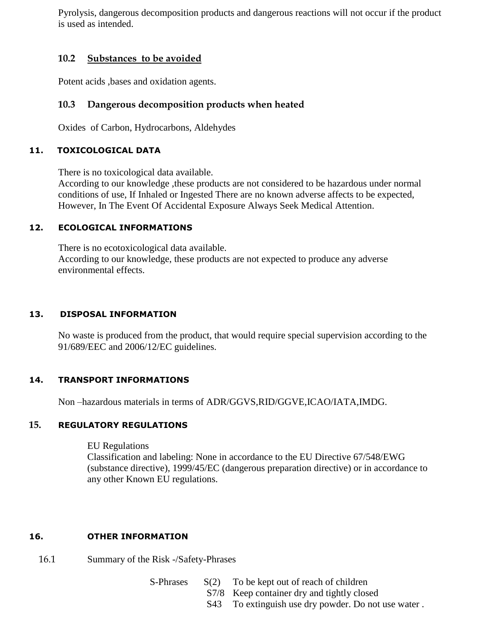Pyrolysis, dangerous decomposition products and dangerous reactions will not occur if the product is used as intended.

### **10.2 Substances to be avoided**

Potent acids ,bases and oxidation agents.

## **10.3 Dangerous decomposition products when heated**

Oxides of Carbon, Hydrocarbons, Aldehydes

#### **11. TOXICOLOGICAL DATA**

There is no toxicological data available.

According to our knowledge ,these products are not considered to be hazardous under normal conditions of use, If Inhaled or Ingested There are no known adverse affects to be expected, However, In The Event Of Accidental Exposure Always Seek Medical Attention.

### **12. ECOLOGICAL INFORMATIONS**

There is no ecotoxicological data available. According to our knowledge, these products are not expected to produce any adverse environmental effects.

### **13. DISPOSAL INFORMATION**

No waste is produced from the product, that would require special supervision according to the 91/689/EEC and 2006/12/EC guidelines.

### **14. TRANSPORT INFORMATIONS**

Non –hazardous materials in terms of ADR/GGVS,RID/GGVE,ICAO/IATA,IMDG.

### **15. REGULATORY REGULATIONS**

EU Regulations

Classification and labeling: None in accordance to the EU Directive 67/548/EWG (substance directive), 1999/45/EC (dangerous preparation directive) or in accordance to any other Known EU regulations.

### **16. OTHER INFORMATION**

- 16.1 Summary of the Risk -/Safety-Phrases
	- S-Phrases  $S(2)$  To be kept out of reach of children
		- S7/8 Keep container dry and tightly closed
		- S43 To extinguish use dry powder. Do not use water .